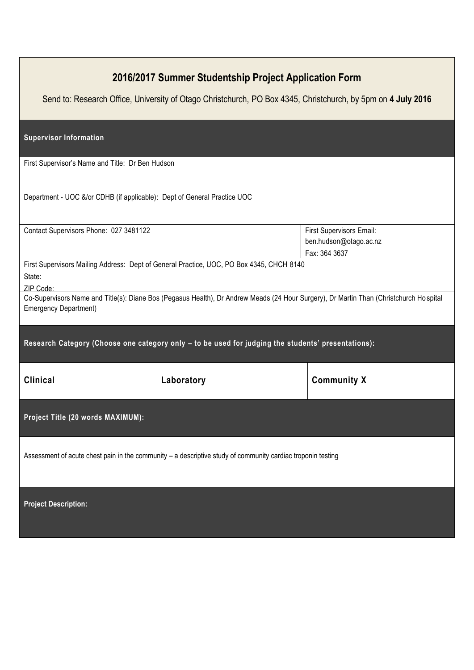| 2016/2017 Summer Studentship Project Application Form<br>Send to: Research Office, University of Otago Christchurch, PO Box 4345, Christchurch, by 5pm on 4 July 2016  |            |                                                                     |
|------------------------------------------------------------------------------------------------------------------------------------------------------------------------|------------|---------------------------------------------------------------------|
| <b>Supervisor Information</b>                                                                                                                                          |            |                                                                     |
| First Supervisor's Name and Title: Dr Ben Hudson                                                                                                                       |            |                                                                     |
| Department - UOC &/or CDHB (if applicable): Dept of General Practice UOC                                                                                               |            |                                                                     |
| Contact Supervisors Phone: 027 3481122                                                                                                                                 |            | First Supervisors Email:<br>ben.hudson@otago.ac.nz<br>Fax: 364 3637 |
| First Supervisors Mailing Address: Dept of General Practice, UOC, PO Box 4345, CHCH 8140<br>State:<br>ZIP Code:                                                        |            |                                                                     |
| Co-Supervisors Name and Title(s): Diane Bos (Pegasus Health), Dr Andrew Meads (24 Hour Surgery), Dr Martin Than (Christchurch Hospital<br><b>Emergency Department)</b> |            |                                                                     |
| Research Category (Choose one category only - to be used for judging the students' presentations):                                                                     |            |                                                                     |
| <b>Clinical</b>                                                                                                                                                        | Laboratory | <b>Community X</b>                                                  |
| Project Title (20 words MAXIMUM):                                                                                                                                      |            |                                                                     |
| Assessment of acute chest pain in the community - a descriptive study of community cardiac troponin testing                                                            |            |                                                                     |
| <b>Project Description:</b>                                                                                                                                            |            |                                                                     |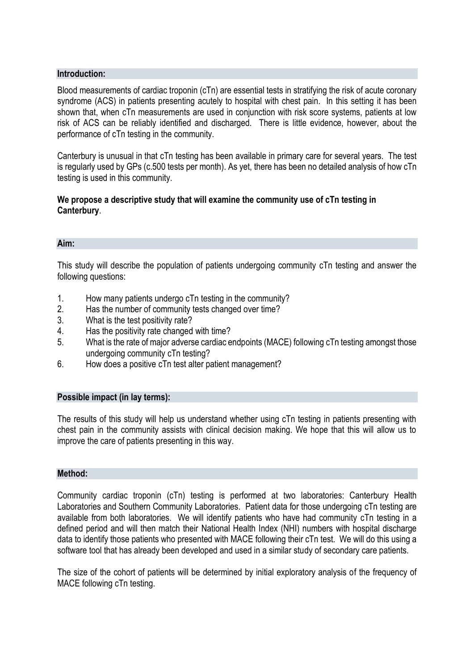## **Introduction:**

Blood measurements of cardiac troponin (cTn) are essential tests in stratifying the risk of acute coronary syndrome (ACS) in patients presenting acutely to hospital with chest pain. In this setting it has been shown that, when cTn measurements are used in conjunction with risk score systems, patients at low risk of ACS can be reliably identified and discharged. There is little evidence, however, about the performance of cTn testing in the community.

Canterbury is unusual in that cTn testing has been available in primary care for several years. The test is regularly used by GPs (c.500 tests per month). As yet, there has been no detailed analysis of how cTn testing is used in this community.

# **We propose a descriptive study that will examine the community use of cTn testing in Canterbury**.

### **Aim:**

This study will describe the population of patients undergoing community cTn testing and answer the following questions:

- 1. How many patients undergo cTn testing in the community?
- 2. Has the number of community tests changed over time?
- 3. What is the test positivity rate?
- 4. Has the positivity rate changed with time?
- 5. What is the rate of major adverse cardiac endpoints (MACE) following cTn testing amongst those undergoing community cTn testing?
- 6. How does a positive cTn test alter patient management?

### **Possible impact (in lay terms):**

The results of this study will help us understand whether using cTn testing in patients presenting with chest pain in the community assists with clinical decision making. We hope that this will allow us to improve the care of patients presenting in this way.

### **Method:**

Community cardiac troponin (cTn) testing is performed at two laboratories: Canterbury Health Laboratories and Southern Community Laboratories. Patient data for those undergoing cTn testing are available from both laboratories. We will identify patients who have had community cTn testing in a defined period and will then match their National Health Index (NHI) numbers with hospital discharge data to identify those patients who presented with MACE following their cTn test. We will do this using a software tool that has already been developed and used in a similar study of secondary care patients.

The size of the cohort of patients will be determined by initial exploratory analysis of the frequency of MACE following cTn testing.